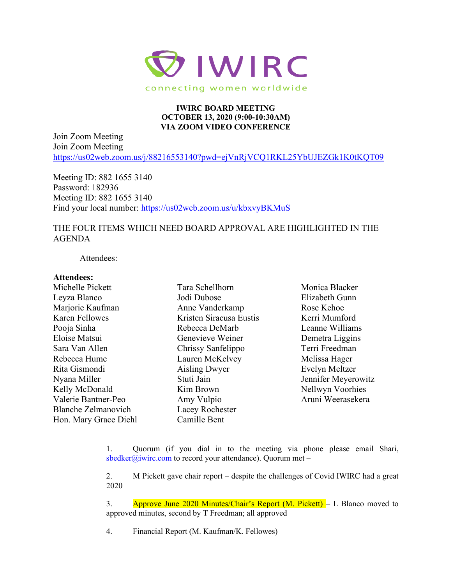

## **IWIRC BOARD MEETING OCTOBER 13, 2020 (9:00-10:30AM) VIA ZOOM VIDEO CONFERENCE**

Join Zoom Meeting Join Zoom Meeting <https://us02web.zoom.us/j/88216553140?pwd=ejVnRjVCQ1RKL25YbUJEZGk1K0tKQT09>

Meeting ID: 882 1655 3140 Password: 182936 Meeting ID: 882 1655 3140 Find your local number:<https://us02web.zoom.us/u/kbxvyBKMuS>

## THE FOUR ITEMS WHICH NEED BOARD APPROVAL ARE HIGHLIGHTED IN THE AGENDA

Attendees:

## **Attendees:**

Michelle Pickett Leyza Blanco Marjorie Kaufman Karen Fellowes Pooja Sinha Eloise Matsui Sara Van Allen Rebecca Hume Rita Gismondi Nyana Miller Kelly McDonald Valerie Bantner-Peo Blanche Zelmanovich Hon. Mary Grace Diehl

Tara Schellhorn Jodi Dubose Anne Vanderkamp Kristen Siracusa Eustis Rebecca DeMarb Genevieve Weiner Chrissy Sanfelippo Lauren McKelvey Aisling Dwyer Stuti Jain Kim Brown Amy Vulpio Lacey Rochester Camille Bent

Monica Blacker Elizabeth Gunn Rose Kehoe Kerri Mumford Leanne Williams Demetra Liggins Terri Freedman Melissa Hager Evelyn Meltzer Jennifer Meyerowitz Nellwyn Voorhies Aruni Weerasekera

1. Quorum (if you dial in to the meeting via phone please email Shari, [sbedker@iwirc.com](mailto:sbedker@iwirc.com) to record your attendance). Quorum met –

2. M Pickett gave chair report – despite the challenges of Covid IWIRC had a great 2020

3. Approve June 2020 Minutes/Chair's Report (M. Pickett) – L Blanco moved to approved minutes, second by T Freedman; all approved

4. Financial Report (M. Kaufman/K. Fellowes)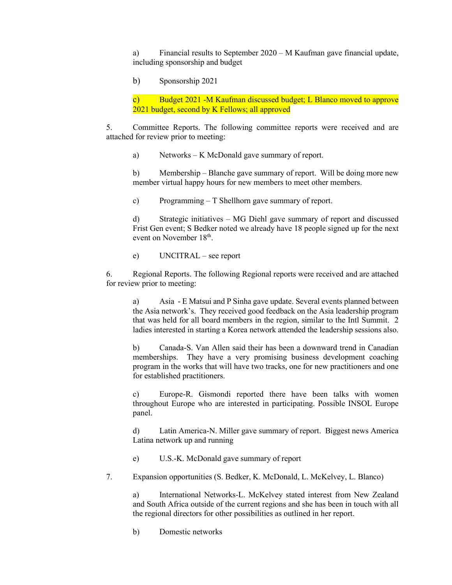a) Financial results to September 2020 – M Kaufman gave financial update, including sponsorship and budget

b) Sponsorship 2021

c) Budget 2021 -M Kaufman discussed budget; L Blanco moved to approve 2021 budget, second by K Fellows; all approved

5. Committee Reports. The following committee reports were received and are attached for review prior to meeting:

a) Networks – K McDonald gave summary of report.

b) Membership – Blanche gave summary of report. Will be doing more new member virtual happy hours for new members to meet other members.

c) Programming – T Shellhorn gave summary of report.

d) Strategic initiatives – MG Diehl gave summary of report and discussed Frist Gen event; S Bedker noted we already have 18 people signed up for the next event on November 18<sup>th</sup>.

e) UNCITRAL – see report

6. Regional Reports. The following Regional reports were received and are attached for review prior to meeting:

a) Asia - E Matsui and P Sinha gave update. Several events planned between the Asia network's. They received good feedback on the Asia leadership program that was held for all board members in the region, similar to the Intl Summit. 2 ladies interested in starting a Korea network attended the leadership sessions also.

b) Canada-S. Van Allen said their has been a downward trend in Canadian memberships. They have a very promising business development coaching program in the works that will have two tracks, one for new practitioners and one for established practitioners.

c) Europe-R. Gismondi reported there have been talks with women throughout Europe who are interested in participating. Possible INSOL Europe panel.

d) Latin America-N. Miller gave summary of report. Biggest news America Latina network up and running

e) U.S.-K. McDonald gave summary of report

7. Expansion opportunities (S. Bedker, K. McDonald, L. McKelvey, L. Blanco)

a) International Networks-L. McKelvey stated interest from New Zealand and South Africa outside of the current regions and she has been in touch with all the regional directors for other possibilities as outlined in her report.

b) Domestic networks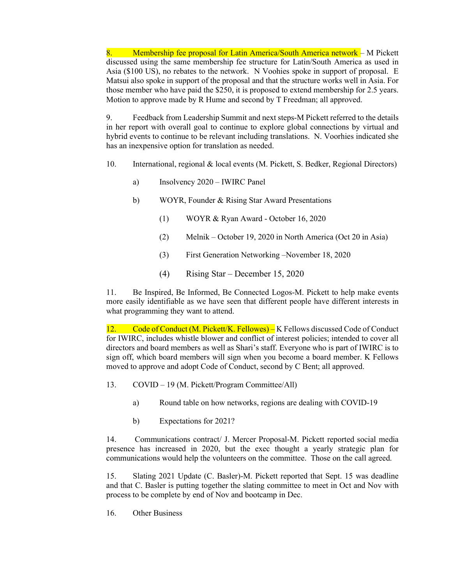8. Membership fee proposal for Latin America/South America network – M Pickett discussed using the same membership fee structure for Latin/South America as used in Asia (\$100 US), no rebates to the network. N Voohies spoke in support of proposal. E Matsui also spoke in support of the proposal and that the structure works well in Asia. For those member who have paid the \$250, it is proposed to extend membership for 2.5 years. Motion to approve made by R Hume and second by T Freedman; all approved.

9. Feedback from Leadership Summit and next steps-M Pickett referred to the details in her report with overall goal to continue to explore global connections by virtual and hybrid events to continue to be relevant including translations. N. Voorhies indicated she has an inexpensive option for translation as needed.

- 10. International, regional & local events (M. Pickett, S. Bedker, Regional Directors)
	- a) Insolvency 2020 IWIRC Panel
	- b) WOYR, Founder & Rising Star Award Presentations
		- (1) WOYR & Ryan Award October 16, 2020
		- (2) Melnik October 19, 2020 in North America (Oct 20 in Asia)
		- (3) First Generation Networking –November 18, 2020
		- (4) Rising Star December 15, 2020

11. Be Inspired, Be Informed, Be Connected Logos-M. Pickett to help make events more easily identifiable as we have seen that different people have different interests in what programming they want to attend.

12. Code of Conduct (M. Pickett/K. Fellowes) – K Fellows discussed Code of Conduct for IWIRC, includes whistle blower and conflict of interest policies; intended to cover all directors and board members as well as Shari's staff. Everyone who is part of IWIRC is to sign off, which board members will sign when you become a board member. K Fellows moved to approve and adopt Code of Conduct, second by C Bent; all approved.

- 13. COVID 19 (M. Pickett/Program Committee/All)
	- a) Round table on how networks, regions are dealing with COVID-19
	- b) Expectations for 2021?

14. Communications contract/ J. Mercer Proposal-M. Pickett reported social media presence has increased in 2020, but the exec thought a yearly strategic plan for communications would help the volunteers on the committee. Those on the call agreed.

15. Slating 2021 Update (C. Basler)-M. Pickett reported that Sept. 15 was deadline and that C. Basler is putting together the slating committee to meet in Oct and Nov with process to be complete by end of Nov and bootcamp in Dec.

16. Other Business